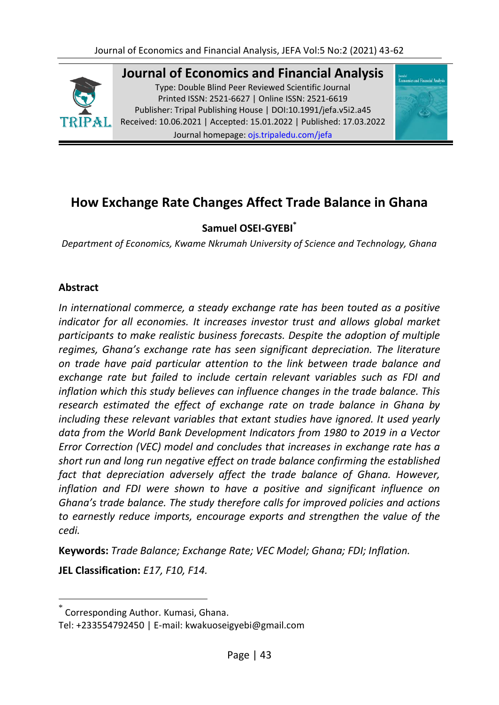

**Journal of Economics and Financial Analysis** Type: Double Blind Peer Reviewed Scientific Journal Printed ISSN: 2521-6627 | Online ISSN: 2521-6619 Publisher: Tripal Publishing House | DOI:10.1991/jefa.v5i2.a45 Received: 10.06.2021 | Accepted: 15.01.2022 | Published: 17.03.2022 Journal homepage: [ojs.tripaledu.com/jefa](file:///C:/Users/DELL/AppData/Roaming/Microsoft/Word/www.ojs.tripaledu.com/jefa)



# **How Exchange Rate Changes Affect Trade Balance in Ghana**

# **Samuel OSEI-GYEBI\***

*Department of Economics, Kwame Nkrumah University of Science and Technology, Ghana*

# **Abstract**

*In international commerce, a steady exchange rate has been touted as a positive indicator for all economies. It increases investor trust and allows global market participants to make realistic business forecasts. Despite the adoption of multiple regimes, Ghana's exchange rate has seen significant depreciation. The literature on trade have paid particular attention to the link between trade balance and exchange rate but failed to include certain relevant variables such as FDI and inflation which this study believes can influence changes in the trade balance. This research estimated the effect of exchange rate on trade balance in Ghana by including these relevant variables that extant studies have ignored. It used yearly data from the World Bank Development Indicators from 1980 to 2019 in a Vector Error Correction (VEC) model and concludes that increases in exchange rate has a short run and long run negative effect on trade balance confirming the established fact that depreciation adversely affect the trade balance of Ghana. However, inflation and FDI were shown to have a positive and significant influence on Ghana's trade balance. The study therefore calls for improved policies and actions to earnestly reduce imports, encourage exports and strengthen the value of the cedi.*

**Keywords:** *Trade Balance; Exchange Rate; VEC Model; Ghana; FDI; Inflation.*

**JEL Classification:** *E17, F10, F14.*

 $\overline{\phantom{a}}$ 

<sup>\*</sup> Corresponding Author. Kumasi, Ghana.

Tel: +233554792450 | E-mail: kwakuoseigyebi@gmail.com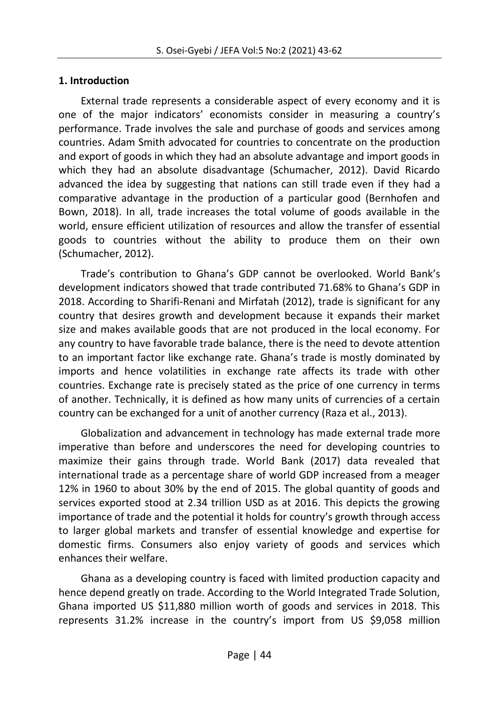# **1. Introduction**

External trade represents a considerable aspect of every economy and it is one of the major indicators' economists consider in measuring a country's performance. Trade involves the sale and purchase of goods and services among countries. Adam Smith advocated for countries to concentrate on the production and export of goods in which they had an absolute advantage and import goods in which they had an absolute disadvantage (Schumacher, 2012). David Ricardo advanced the idea by suggesting that nations can still trade even if they had a comparative advantage in the production of a particular good (Bernhofen and Bown, 2018). In all, trade increases the total volume of goods available in the world, ensure efficient utilization of resources and allow the transfer of essential goods to countries without the ability to produce them on their own (Schumacher, 2012).

Trade's contribution to Ghana's GDP cannot be overlooked. World Bank's development indicators showed that trade contributed 71.68% to Ghana's GDP in 2018. According to Sharifi-Renani and Mirfatah (2012), trade is significant for any country that desires growth and development because it expands their market size and makes available goods that are not produced in the local economy. For any country to have favorable trade balance, there is the need to devote attention to an important factor like exchange rate. Ghana's trade is mostly dominated by imports and hence volatilities in exchange rate affects its trade with other countries. Exchange rate is precisely stated as the price of one currency in terms of another. Technically, it is defined as how many units of currencies of a certain country can be exchanged for a unit of another currency (Raza et al., 2013).

Globalization and advancement in technology has made external trade more imperative than before and underscores the need for developing countries to maximize their gains through trade. World Bank (2017) data revealed that international trade as a percentage share of world GDP increased from a meager 12% in 1960 to about 30% by the end of 2015. The global quantity of goods and services exported stood at 2.34 trillion USD as at 2016. This depicts the growing importance of trade and the potential it holds for country's growth through access to larger global markets and transfer of essential knowledge and expertise for domestic firms. Consumers also enjoy variety of goods and services which enhances their welfare.

Ghana as a developing country is faced with limited production capacity and hence depend greatly on trade. According to the World Integrated Trade Solution, Ghana imported US \$11,880 million worth of goods and services in 2018. This represents 31.2% increase in the country's import from US \$9,058 million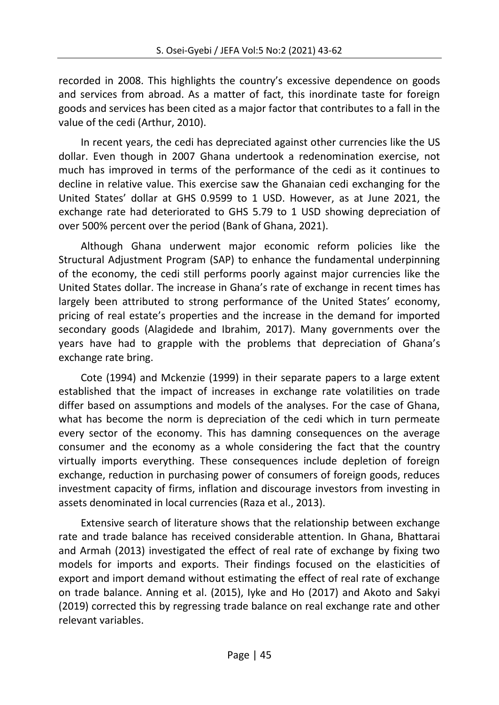recorded in 2008. This highlights the country's excessive dependence on goods and services from abroad. As a matter of fact, this inordinate taste for foreign goods and services has been cited as a major factor that contributes to a fall in the value of the cedi (Arthur, 2010).

In recent years, the cedi has depreciated against other currencies like the US dollar. Even though in 2007 Ghana undertook a redenomination exercise, not much has improved in terms of the performance of the cedi as it continues to decline in relative value. This exercise saw the Ghanaian cedi exchanging for the United States' dollar at GHS 0.9599 to 1 USD. However, as at June 2021, the exchange rate had deteriorated to GHS 5.79 to 1 USD showing depreciation of over 500% percent over the period (Bank of Ghana, 2021).

Although Ghana underwent major economic reform policies like the Structural Adjustment Program (SAP) to enhance the fundamental underpinning of the economy, the cedi still performs poorly against major currencies like the United States dollar. The increase in Ghana's rate of exchange in recent times has largely been attributed to strong performance of the United States' economy, pricing of real estate's properties and the increase in the demand for imported secondary goods (Alagidede and Ibrahim, 2017). Many governments over the years have had to grapple with the problems that depreciation of Ghana's exchange rate bring.

Cote (1994) and Mckenzie (1999) in their separate papers to a large extent established that the impact of increases in exchange rate volatilities on trade differ based on assumptions and models of the analyses. For the case of Ghana, what has become the norm is depreciation of the cedi which in turn permeate every sector of the economy. This has damning consequences on the average consumer and the economy as a whole considering the fact that the country virtually imports everything. These consequences include depletion of foreign exchange, reduction in purchasing power of consumers of foreign goods, reduces investment capacity of firms, inflation and discourage investors from investing in assets denominated in local currencies (Raza et al., 2013).

Extensive search of literature shows that the relationship between exchange rate and trade balance has received considerable attention. In Ghana, Bhattarai and Armah (2013) investigated the effect of real rate of exchange by fixing two models for imports and exports. Their findings focused on the elasticities of export and import demand without estimating the effect of real rate of exchange on trade balance. Anning et al. (2015), Iyke and Ho (2017) and Akoto and Sakyi (2019) corrected this by regressing trade balance on real exchange rate and other relevant variables.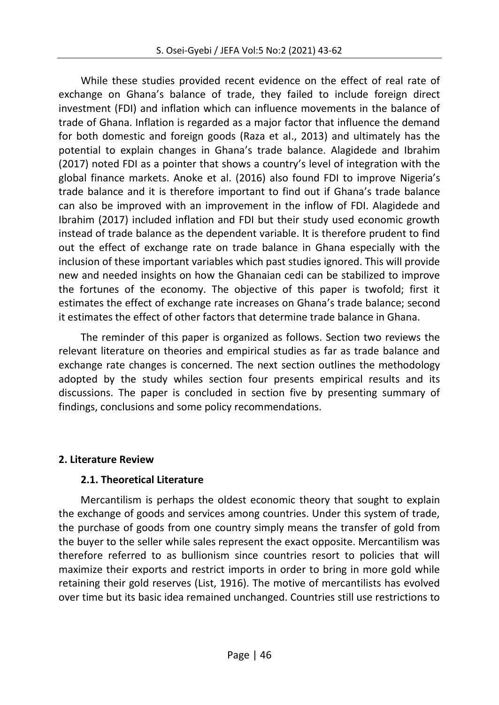While these studies provided recent evidence on the effect of real rate of exchange on Ghana's balance of trade, they failed to include foreign direct investment (FDI) and inflation which can influence movements in the balance of trade of Ghana. Inflation is regarded as a major factor that influence the demand for both domestic and foreign goods (Raza et al., 2013) and ultimately has the potential to explain changes in Ghana's trade balance. Alagidede and Ibrahim (2017) noted FDI as a pointer that shows a country's level of integration with the global finance markets. Anoke et al. (2016) also found FDI to improve Nigeria's trade balance and it is therefore important to find out if Ghana's trade balance can also be improved with an improvement in the inflow of FDI. Alagidede and Ibrahim (2017) included inflation and FDI but their study used economic growth instead of trade balance as the dependent variable. It is therefore prudent to find out the effect of exchange rate on trade balance in Ghana especially with the inclusion of these important variables which past studies ignored. This will provide new and needed insights on how the Ghanaian cedi can be stabilized to improve the fortunes of the economy. The objective of this paper is twofold; first it estimates the effect of exchange rate increases on Ghana's trade balance; second it estimates the effect of other factors that determine trade balance in Ghana.

The reminder of this paper is organized as follows. Section two reviews the relevant literature on theories and empirical studies as far as trade balance and exchange rate changes is concerned. The next section outlines the methodology adopted by the study whiles section four presents empirical results and its discussions. The paper is concluded in section five by presenting summary of findings, conclusions and some policy recommendations.

# **2. Literature Review**

### **2.1. Theoretical Literature**

Mercantilism is perhaps the oldest economic theory that sought to explain the exchange of goods and services among countries. Under this system of trade, the purchase of goods from one country simply means the transfer of gold from the buyer to the seller while sales represent the exact opposite. Mercantilism was therefore referred to as bullionism since countries resort to policies that will maximize their exports and restrict imports in order to bring in more gold while retaining their gold reserves (List, 1916). The motive of mercantilists has evolved over time but its basic idea remained unchanged. Countries still use restrictions to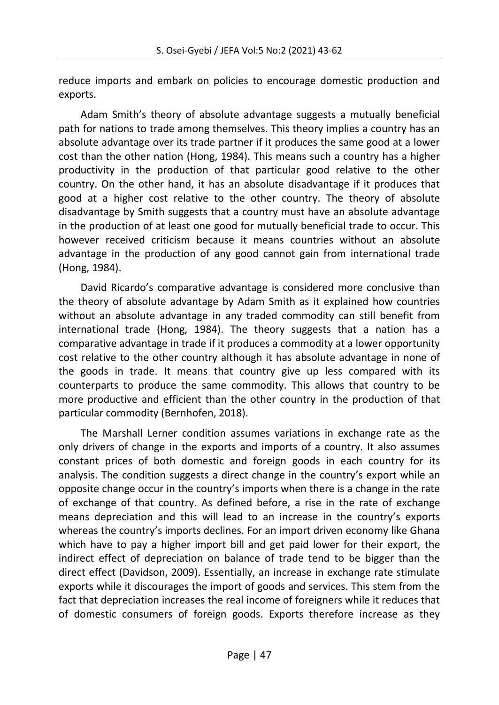reduce imports and embark on policies to encourage domestic production and exports.

Adam Smith's theory of absolute advantage suggests a mutually beneficial path for nations to trade among themselves. This theory implies a country has an absolute advantage over its trade partner if it produces the same good at a lower cost than the other nation (Hong, 1984). This means such a country has a higher productivity in the production of that particular good relative to the other country. On the other hand, it has an absolute disadvantage if it produces that good at a higher cost relative to the other country. The theory of absolute disadvantage by Smith suggests that a country must have an absolute advantage in the production of at least one good for mutually beneficial trade to occur. This however received criticism because it means countries without an absolute advantage in the production of any good cannot gain from international trade (Hong, 1984).

David Ricardo's comparative advantage is considered more conclusive than the theory of absolute advantage by Adam Smith as it explained how countries without an absolute advantage in any traded commodity can still benefit from international trade (Hong, 1984). The theory suggests that a nation has a comparative advantage in trade if it produces a commodity at a lower opportunity cost relative to the other country although it has absolute advantage in none of the goods in trade. It means that country give up less compared with its counterparts to produce the same commodity. This allows that country to be more productive and efficient than the other country in the production of that particular commodity (Bernhofen, 2018).

The Marshall Lerner condition assumes variations in exchange rate as the only drivers of change in the exports and imports of a country. It also assumes constant prices of both domestic and foreign goods in each country for its analysis. The condition suggests a direct change in the country's export while an opposite change occur in the country's imports when there is a change in the rate of exchange of that country. As defined before, a rise in the rate of exchange means depreciation and this will lead to an increase in the country's exports whereas the country's imports declines. For an import driven economy like Ghana which have to pay a higher import bill and get paid lower for their export, the indirect effect of depreciation on balance of trade tend to be bigger than the direct effect (Davidson, 2009). Essentially, an increase in exchange rate stimulate exports while it discourages the import of goods and services. This stem from the fact that depreciation increases the real income of foreigners while it reduces that of domestic consumers of foreign goods. Exports therefore increase as they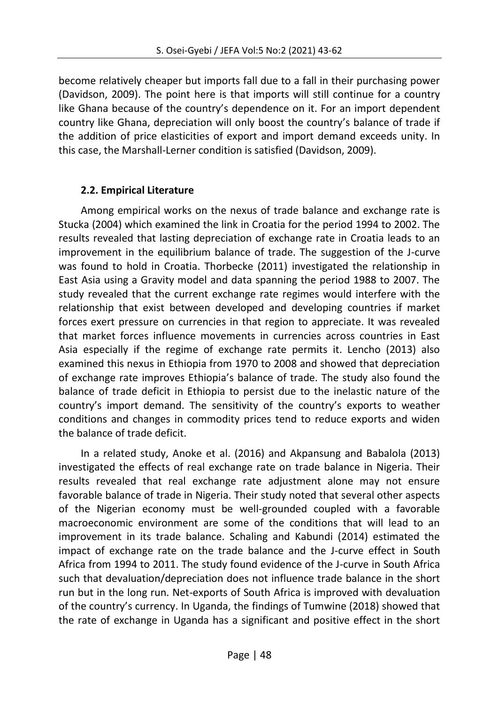become relatively cheaper but imports fall due to a fall in their purchasing power (Davidson, 2009). The point here is that imports will still continue for a country like Ghana because of the country's dependence on it. For an import dependent country like Ghana, depreciation will only boost the country's balance of trade if the addition of price elasticities of export and import demand exceeds unity. In this case, the Marshall-Lerner condition is satisfied (Davidson, 2009).

# **2.2. Empirical Literature**

Among empirical works on the nexus of trade balance and exchange rate is Stucka (2004) which examined the link in Croatia for the period 1994 to 2002. The results revealed that lasting depreciation of exchange rate in Croatia leads to an improvement in the equilibrium balance of trade. The suggestion of the J-curve was found to hold in Croatia. Thorbecke (2011) investigated the relationship in East Asia using a Gravity model and data spanning the period 1988 to 2007. The study revealed that the current exchange rate regimes would interfere with the relationship that exist between developed and developing countries if market forces exert pressure on currencies in that region to appreciate. It was revealed that market forces influence movements in currencies across countries in East Asia especially if the regime of exchange rate permits it. Lencho (2013) also examined this nexus in Ethiopia from 1970 to 2008 and showed that depreciation of exchange rate improves Ethiopia's balance of trade. The study also found the balance of trade deficit in Ethiopia to persist due to the inelastic nature of the country's import demand. The sensitivity of the country's exports to weather conditions and changes in commodity prices tend to reduce exports and widen the balance of trade deficit.

In a related study, Anoke et al. (2016) and Akpansung and Babalola (2013) investigated the effects of real exchange rate on trade balance in Nigeria. Their results revealed that real exchange rate adjustment alone may not ensure favorable balance of trade in Nigeria. Their study noted that several other aspects of the Nigerian economy must be well-grounded coupled with a favorable macroeconomic environment are some of the conditions that will lead to an improvement in its trade balance. Schaling and Kabundi (2014) estimated the impact of exchange rate on the trade balance and the J-curve effect in South Africa from 1994 to 2011. The study found evidence of the J-curve in South Africa such that devaluation/depreciation does not influence trade balance in the short run but in the long run. Net-exports of South Africa is improved with devaluation of the country's currency. In Uganda, the findings of Tumwine (2018) showed that the rate of exchange in Uganda has a significant and positive effect in the short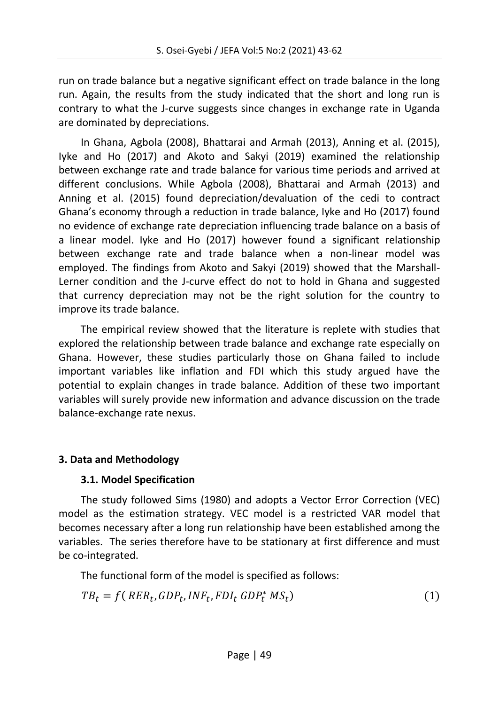run on trade balance but a negative significant effect on trade balance in the long run. Again, the results from the study indicated that the short and long run is contrary to what the J-curve suggests since changes in exchange rate in Uganda are dominated by depreciations.

In Ghana, Agbola (2008), Bhattarai and Armah (2013), Anning et al. (2015), Iyke and Ho (2017) and Akoto and Sakyi (2019) examined the relationship between exchange rate and trade balance for various time periods and arrived at different conclusions. While Agbola (2008), Bhattarai and Armah (2013) and Anning et al. (2015) found depreciation/devaluation of the cedi to contract Ghana's economy through a reduction in trade balance, Iyke and Ho (2017) found no evidence of exchange rate depreciation influencing trade balance on a basis of a linear model. Iyke and Ho (2017) however found a significant relationship between exchange rate and trade balance when a non-linear model was employed. The findings from Akoto and Sakyi (2019) showed that the Marshall-Lerner condition and the J-curve effect do not to hold in Ghana and suggested that currency depreciation may not be the right solution for the country to improve its trade balance.

The empirical review showed that the literature is replete with studies that explored the relationship between trade balance and exchange rate especially on Ghana. However, these studies particularly those on Ghana failed to include important variables like inflation and FDI which this study argued have the potential to explain changes in trade balance. Addition of these two important variables will surely provide new information and advance discussion on the trade balance-exchange rate nexus.

# **3. Data and Methodology**

# **3.1. Model Specification**

The study followed Sims (1980) and adopts a Vector Error Correction (VEC) model as the estimation strategy. VEC model is a restricted VAR model that becomes necessary after a long run relationship have been established among the variables. The series therefore have to be stationary at first difference and must be co-integrated.

The functional form of the model is specified as follows:

$$
TB_t = f(\ RER_t, GDP_t, INF_t, FDI_t \ GDP_t^* MS_t)
$$
\n
$$
(1)
$$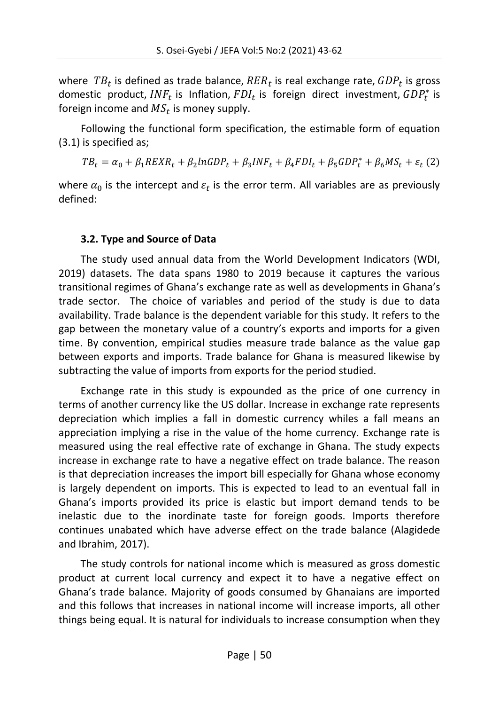where  $\mathit{TB}_t$  is defined as trade balance,  $\mathit{RER}_t$  is real exchange rate,  $\mathit{GDP}_t$  is gross domestic product,  $INF_t$  is Inflation,  $FDI_t$  is foreign direct investment,  $GDP_t^*$  is foreign income and  $\mathit{MS}_t$  is money supply.

Following the functional form specification, the estimable form of equation (3.1) is specified as;

 $TB_t = \alpha_0 + \beta_1 REXR_t + \beta_2 lnGDP_t + \beta_3 INF_t + \beta_4 FDI_t + \beta_5 GDP_t^*$ 

where  $\alpha_0$  is the intercept and  $\varepsilon_t$  is the error term. All variables are as previously defined:

# **3.2. Type and Source of Data**

The study used annual data from the World Development Indicators (WDI, 2019) datasets. The data spans 1980 to 2019 because it captures the various transitional regimes of Ghana's exchange rate as well as developments in Ghana's trade sector. The choice of variables and period of the study is due to data availability. Trade balance is the dependent variable for this study. It refers to the gap between the monetary value of a country's exports and imports for a given time. By convention, empirical studies measure trade balance as the value gap between exports and imports. Trade balance for Ghana is measured likewise by subtracting the value of imports from exports for the period studied.

Exchange rate in this study is expounded as the price of one currency in terms of another currency like the US dollar. Increase in exchange rate represents depreciation which implies a fall in domestic currency whiles a fall means an appreciation implying a rise in the value of the home currency. Exchange rate is measured using the real effective rate of exchange in Ghana. The study expects increase in exchange rate to have a negative effect on trade balance. The reason is that depreciation increases the import bill especially for Ghana whose economy is largely dependent on imports. This is expected to lead to an eventual fall in Ghana's imports provided its price is elastic but import demand tends to be inelastic due to the inordinate taste for foreign goods. Imports therefore continues unabated which have adverse effect on the trade balance (Alagidede and Ibrahim, 2017).

The study controls for national income which is measured as gross domestic product at current local currency and expect it to have a negative effect on Ghana's trade balance. Majority of goods consumed by Ghanaians are imported and this follows that increases in national income will increase imports, all other things being equal. It is natural for individuals to increase consumption when they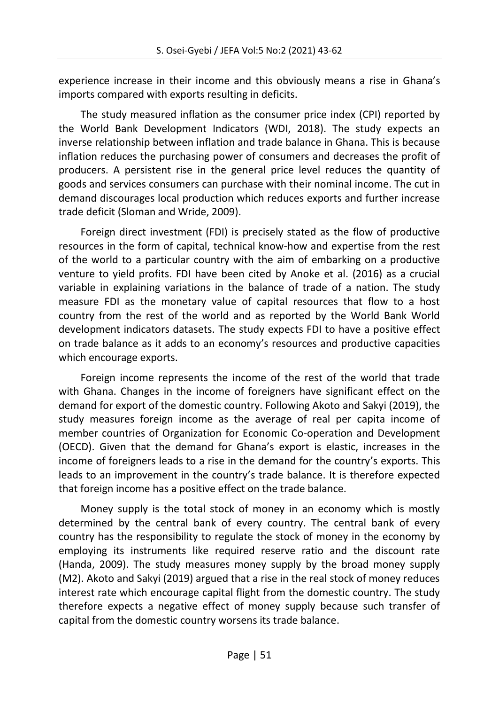experience increase in their income and this obviously means a rise in Ghana's imports compared with exports resulting in deficits.

The study measured inflation as the consumer price index (CPI) reported by the World Bank Development Indicators (WDI, 2018). The study expects an inverse relationship between inflation and trade balance in Ghana. This is because inflation reduces the purchasing power of consumers and decreases the profit of producers. A persistent rise in the general price level reduces the quantity of goods and services consumers can purchase with their nominal income. The cut in demand discourages local production which reduces exports and further increase trade deficit (Sloman and Wride, 2009).

Foreign direct investment (FDI) is precisely stated as the flow of productive resources in the form of capital, technical know-how and expertise from the rest of the world to a particular country with the aim of embarking on a productive venture to yield profits. FDI have been cited by Anoke et al. (2016) as a crucial variable in explaining variations in the balance of trade of a nation. The study measure FDI as the monetary value of capital resources that flow to a host country from the rest of the world and as reported by the World Bank World development indicators datasets. The study expects FDI to have a positive effect on trade balance as it adds to an economy's resources and productive capacities which encourage exports.

Foreign income represents the income of the rest of the world that trade with Ghana. Changes in the income of foreigners have significant effect on the demand for export of the domestic country. Following Akoto and Sakyi (2019), the study measures foreign income as the average of real per capita income of member countries of Organization for Economic Co-operation and Development (OECD). Given that the demand for Ghana's export is elastic, increases in the income of foreigners leads to a rise in the demand for the country's exports. This leads to an improvement in the country's trade balance. It is therefore expected that foreign income has a positive effect on the trade balance.

Money supply is the total stock of money in an economy which is mostly determined by the central bank of every country. The central bank of every country has the responsibility to regulate the stock of money in the economy by employing its instruments like required reserve ratio and the discount rate (Handa, 2009). The study measures money supply by the broad money supply (M2). Akoto and Sakyi (2019) argued that a rise in the real stock of money reduces interest rate which encourage capital flight from the domestic country. The study therefore expects a negative effect of money supply because such transfer of capital from the domestic country worsens its trade balance.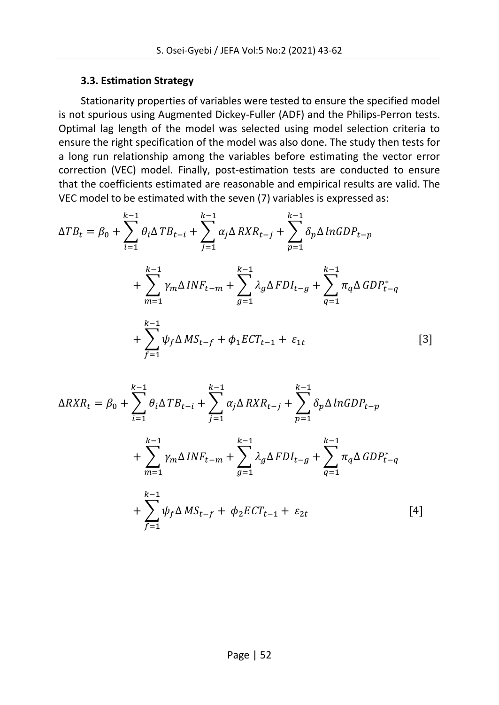### **3.3. Estimation Strategy**

Stationarity properties of variables were tested to ensure the specified model is not spurious using Augmented Dickey-Fuller (ADF) and the Philips-Perron tests. Optimal lag length of the model was selected using model selection criteria to ensure the right specification of the model was also done. The study then tests for a long run relationship among the variables before estimating the vector error correction (VEC) model. Finally, post-estimation tests are conducted to ensure that the coefficients estimated are reasonable and empirical results are valid. The VEC model to be estimated with the seven (7) variables is expressed as:

$$
\Delta TB_{t} = \beta_{0} + \sum_{i=1}^{k-1} \theta_{i} \Delta TB_{t-i} + \sum_{j=1}^{k-1} \alpha_{j} \Delta RXR_{t-j} + \sum_{p=1}^{k-1} \delta_{p} \Delta ln GDP_{t-p} + \sum_{m=1}^{k-1} \gamma_{m} \Delta INF_{t-m} + \sum_{g=1}^{k-1} \lambda_{g} \Delta FDI_{t-g} + \sum_{q=1}^{k-1} \pi_{q} \Delta GDP_{t-q} + \sum_{f=1}^{k-1} \psi_{f} \Delta MS_{t-f} + \phi_{1} ECT_{t-1} + \varepsilon_{1t}
$$
 [3]

$$
\Delta RXR_t = \beta_0 + \sum_{i=1}^{k-1} \theta_i \Delta TB_{t-i} + \sum_{j=1}^{k-1} \alpha_j \Delta RXR_{t-j} + \sum_{p=1}^{k-1} \delta_p \Delta ln GDP_{t-p} + \sum_{m=1}^{k-1} \gamma_m \Delta INF_{t-m} + \sum_{g=1}^{k-1} \lambda_g \Delta FDI_{t-g} + \sum_{q=1}^{k-1} \pi_q \Delta GDP_{t-q}^* + \sum_{f=1}^{k-1} \psi_f \Delta MS_{t-f} + \phi_2 ECT_{t-1} + \varepsilon_{2t} \tag{4}
$$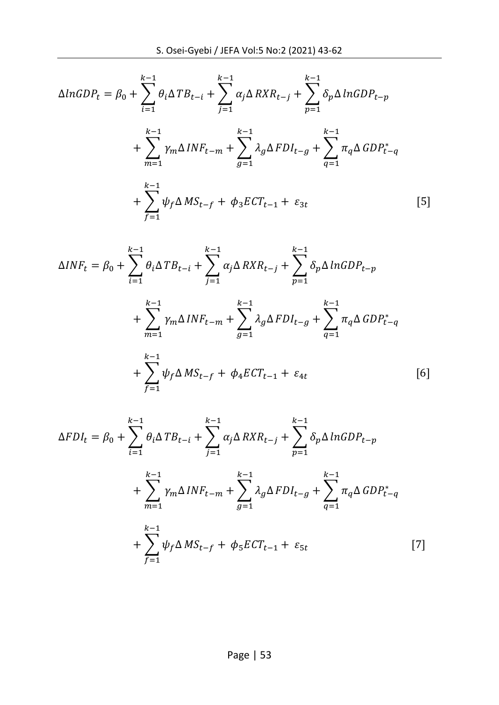$$
\Delta ln GDP_t = \beta_0 + \sum_{i=1}^{k-1} \theta_i \Delta TB_{t-i} + \sum_{j=1}^{k-1} \alpha_j \Delta RXR_{t-j} + \sum_{p=1}^{k-1} \delta_p \Delta ln GDP_{t-p} + \sum_{m=1}^{k-1} \gamma_m \Delta INF_{t-m} + \sum_{g=1}^{k-1} \lambda_g \Delta FDI_{t-g} + \sum_{q=1}^{k-1} \pi_q \Delta GDP_{t-q} + \sum_{f=1}^{k-1} \psi_f \Delta MS_{t-f} + \phi_3 ECT_{t-1} + \varepsilon_{3t} \tag{5}
$$

$$
\Delta INF_{t} = \beta_{0} + \sum_{i=1}^{k-1} \theta_{i} \Delta T B_{t-i} + \sum_{j=1}^{k-1} \alpha_{j} \Delta R X R_{t-j} + \sum_{p=1}^{k-1} \delta_{p} \Delta \ln GDP_{t-p} + \sum_{m=1}^{k-1} \gamma_{m} \Delta INF_{t-m} + \sum_{g=1}^{k-1} \lambda_{g} \Delta F D I_{t-g} + \sum_{q=1}^{k-1} \pi_{q} \Delta GDP_{t-q} + \sum_{f=1}^{k-1} \psi_{f} \Delta M S_{t-f} + \phi_{4} E C T_{t-1} + \varepsilon_{4t} \qquad [6]
$$

$$
\Delta FDI_t = \beta_0 + \sum_{i=1}^{k-1} \theta_i \Delta TB_{t-i} + \sum_{j=1}^{k-1} \alpha_j \Delta RXR_{t-j} + \sum_{p=1}^{k-1} \delta_p \Delta ln GDP_{t-p} + \sum_{m=1}^{k-1} \gamma_m \Delta INF_{t-m} + \sum_{g=1}^{k-1} \lambda_g \Delta FDI_{t-g} + \sum_{q=1}^{k-1} \pi_q \Delta GDP_{t-q}^* + \sum_{f=1}^{k-1} \psi_f \Delta MS_{t-f} + \phi_5 ECT_{t-1} + \varepsilon_{5t} \tag{7}
$$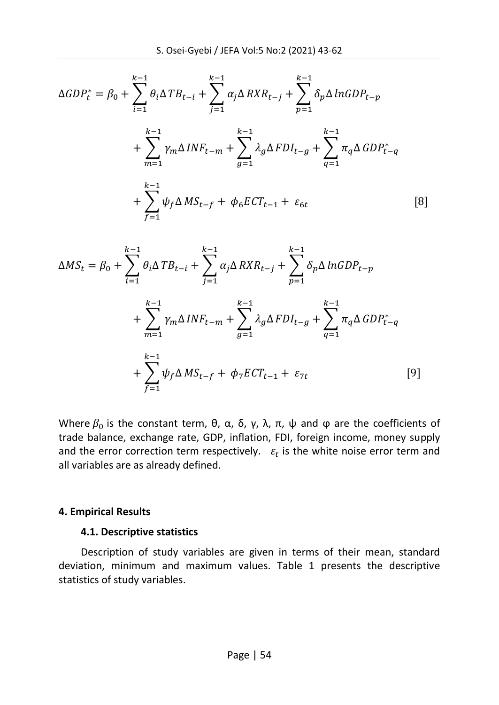$$
\Delta GDP_t^* = \beta_0 + \sum_{i=1}^{k-1} \theta_i \Delta TB_{t-i} + \sum_{j=1}^{k-1} \alpha_j \Delta RXR_{t-j} + \sum_{p=1}^{k-1} \delta_p \Delta ln GDP_{t-p} + \sum_{m=1}^{k-1} \gamma_m \Delta INF_{t-m} + \sum_{g=1}^{k-1} \lambda_g \Delta FDI_{t-g} + \sum_{q=1}^{k-1} \pi_q \Delta GDP_{t-q} + \sum_{f=1}^{k-1} \psi_f \Delta MS_{t-f} + \phi_6 ECT_{t-1} + \varepsilon_{6t}
$$
 [8]

$$
\Delta MS_t = \beta_0 + \sum_{i=1}^{k-1} \theta_i \Delta T B_{t-i} + \sum_{j=1}^{k-1} \alpha_j \Delta R X R_{t-j} + \sum_{p=1}^{k-1} \delta_p \Delta \ln GDP_{t-p} + \sum_{m=1}^{k-1} \gamma_m \Delta INF_{t-m} + \sum_{g=1}^{k-1} \lambda_g \Delta F D I_{t-g} + \sum_{q=1}^{k-1} \pi_q \Delta GDP_{t-q} + \sum_{f=1}^{k-1} \psi_f \Delta MS_{t-f} + \phi_7 E C T_{t-1} + \varepsilon_{7t} \tag{9}
$$

Where  $β_0$  is the constant term, θ, α, δ, γ, λ, π, ψ and φ are the coefficients of trade balance, exchange rate, GDP, inflation, FDI, foreign income, money supply and the error correction term respectively.  $\varepsilon_t$  is the white noise error term and all variables are as already defined.

#### **4. Empirical Results**

### **4.1. Descriptive statistics**

Description of study variables are given in terms of their mean, standard deviation, minimum and maximum values. Table 1 presents the descriptive statistics of study variables.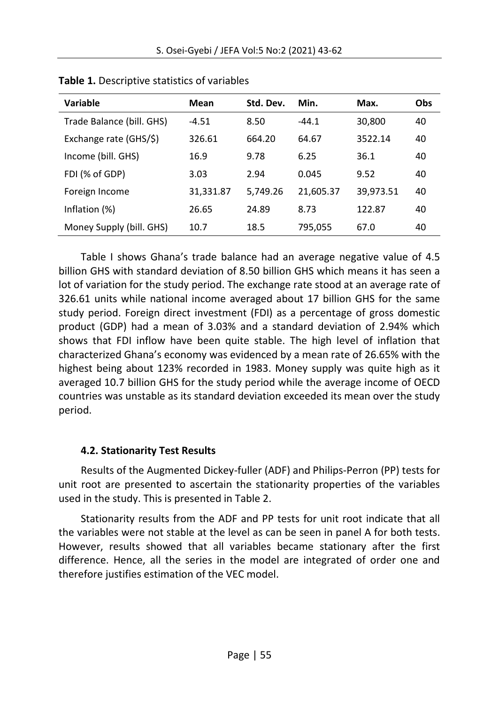| Variable                  | Mean      | Std. Dev. | Min.      | Max.      | Obs |
|---------------------------|-----------|-----------|-----------|-----------|-----|
| Trade Balance (bill. GHS) | $-4.51$   | 8.50      | $-44.1$   | 30,800    | 40  |
| Exchange rate (GHS/\$)    | 326.61    | 664.20    | 64.67     | 3522.14   | 40  |
| Income (bill. GHS)        | 16.9      | 9.78      | 6.25      | 36.1      | 40  |
| FDI (% of GDP)            | 3.03      | 2.94      | 0.045     | 9.52      | 40  |
| Foreign Income            | 31,331.87 | 5,749.26  | 21,605.37 | 39,973.51 | 40  |
| Inflation (%)             | 26.65     | 24.89     | 8.73      | 122.87    | 40  |
| Money Supply (bill. GHS)  | 10.7      | 18.5      | 795,055   | 67.0      | 40  |

**Table 1.** Descriptive statistics of variables

Table I shows Ghana's trade balance had an average negative value of 4.5 billion GHS with standard deviation of 8.50 billion GHS which means it has seen a lot of variation for the study period. The exchange rate stood at an average rate of 326.61 units while national income averaged about 17 billion GHS for the same study period. Foreign direct investment (FDI) as a percentage of gross domestic product (GDP) had a mean of 3.03% and a standard deviation of 2.94% which shows that FDI inflow have been quite stable. The high level of inflation that characterized Ghana's economy was evidenced by a mean rate of 26.65% with the highest being about 123% recorded in 1983. Money supply was quite high as it averaged 10.7 billion GHS for the study period while the average income of OECD countries was unstable as its standard deviation exceeded its mean over the study period.

# **4.2. Stationarity Test Results**

Results of the Augmented Dickey-fuller (ADF) and Philips-Perron (PP) tests for unit root are presented to ascertain the stationarity properties of the variables used in the study. This is presented in Table 2.

Stationarity results from the ADF and PP tests for unit root indicate that all the variables were not stable at the level as can be seen in panel A for both tests. However, results showed that all variables became stationary after the first difference. Hence, all the series in the model are integrated of order one and therefore justifies estimation of the VEC model.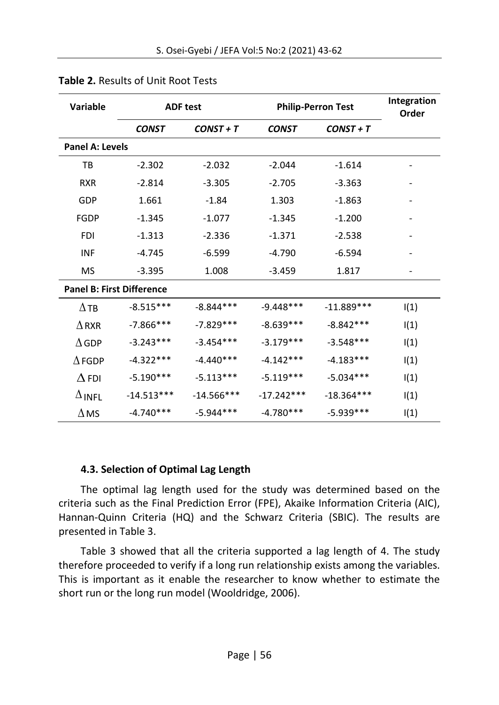| <b>Variable</b>                  |              | <b>ADF test</b> | <b>Philip-Perron Test</b> |              | Integration<br>Order         |
|----------------------------------|--------------|-----------------|---------------------------|--------------|------------------------------|
|                                  | <b>CONST</b> | $CONST + T$     | <b>CONST</b>              | $CONST + T$  |                              |
| <b>Panel A: Levels</b>           |              |                 |                           |              |                              |
| TB                               | $-2.302$     | $-2.032$        | $-2.044$                  | $-1.614$     |                              |
| <b>RXR</b>                       | $-2.814$     | $-3.305$        | $-2.705$                  | $-3.363$     |                              |
| GDP                              | 1.661        | $-1.84$         | 1.303                     | $-1.863$     | $\qquad \qquad \blacksquare$ |
| FGDP                             | $-1.345$     | $-1.077$        | $-1.345$                  | $-1.200$     |                              |
| <b>FDI</b>                       | $-1.313$     | $-2.336$        | $-1.371$                  | $-2.538$     |                              |
| <b>INF</b>                       | $-4.745$     | $-6.599$        | $-4.790$                  | $-6.594$     |                              |
| <b>MS</b>                        | $-3.395$     | 1.008           | $-3.459$                  | 1.817        | $\overline{\phantom{0}}$     |
| <b>Panel B: First Difference</b> |              |                 |                           |              |                              |
| $\Delta$ TB                      | $-8.515***$  | $-8.844***$     | $-9.448***$               | $-11.889***$ | I(1)                         |
| $\Delta$ RXR                     | $-7.866$ *** | $-7.829***$     | $-8.639***$               | $-8.842***$  | I(1)                         |
| $\Delta$ GDP                     | $-3.243***$  | $-3.454***$     | $-3.179***$               | $-3.548***$  | I(1)                         |
| $\Lambda$ FGDP                   | $-4.322***$  | $-4.440***$     | $-4.142***$               | $-4.183***$  | I(1)                         |
| $\Delta$ FDI                     | $-5.190***$  | $-5.113***$     | $-5.119***$               | $-5.034***$  | I(1)                         |
| $\Delta$ INFL                    | $-14.513***$ | $-14.566***$    | $-17.242***$              | $-18.364***$ | I(1)                         |
| $\Delta$ MS                      | $-4.740***$  | $-5.944***$     | $-4.780***$               | $-5.939***$  | I(1)                         |

### **Table 2.** Results of Unit Root Tests

### **4.3. Selection of Optimal Lag Length**

The optimal lag length used for the study was determined based on the criteria such as the Final Prediction Error (FPE), Akaike Information Criteria (AIC), Hannan-Quinn Criteria (HQ) and the Schwarz Criteria (SBIC). The results are presented in Table 3.

Table 3 showed that all the criteria supported a lag length of 4. The study therefore proceeded to verify if a long run relationship exists among the variables. This is important as it enable the researcher to know whether to estimate the short run or the long run model (Wooldridge, 2006).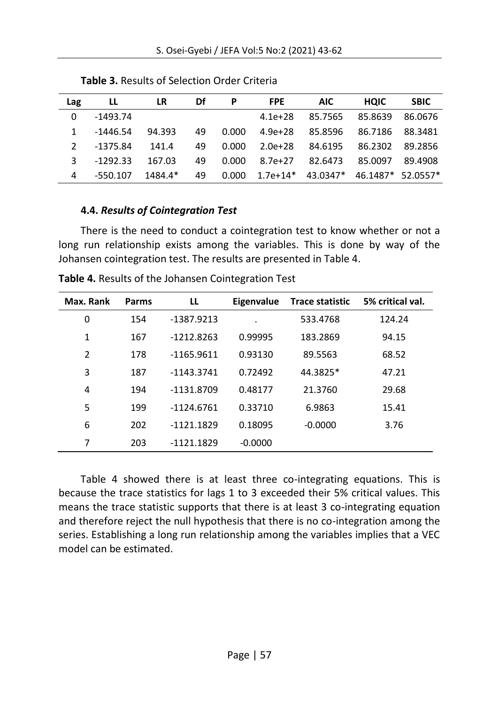| Lag | LL         | LR      | Df | P     | <b>FPE</b> | <b>AIC</b>                            | <b>HOIC</b>     | <b>SBIC</b> |
|-----|------------|---------|----|-------|------------|---------------------------------------|-----------------|-------------|
| 0   | -1493.74   |         |    |       | $4.1e+28$  | 85.7565                               | 85.8639         | 86.0676     |
|     | -1446.54   | 94.393  | 49 | 0.000 |            | 4.9e+28 85.8596                       | 86.7186 88.3481 |             |
|     | -1375.84   | 141.4   | 49 | 0.000 |            | 2.0e+28 84.6195                       | 86.2302 89.2856 |             |
|     | $-1292.33$ | 167.03  | 49 | 0.000 |            | 8.7e+27 82.6473                       | 85.0097 89.4908 |             |
| 4   | -550.107   | 1484.4* | 49 | 0.000 |            | $1.7e+14*$ 43.0347* 46.1487* 52.0557* |                 |             |
|     |            |         |    |       |            |                                       |                 |             |

**Table 3.** Results of Selection Order Criteria

# **4.4.** *Results of Cointegration Test*

There is the need to conduct a cointegration test to know whether or not a long run relationship exists among the variables. This is done by way of the Johansen cointegration test. The results are presented in Table 4.

| Max. Rank | Parms | LL           | Eigenvalue | <b>Trace statistic</b> | 5% critical val. |
|-----------|-------|--------------|------------|------------------------|------------------|
| 0         | 154   | -1387.9213   |            | 533.4768               | 124.24           |
| 1         | 167   | $-1212.8263$ | 0.99995    | 183.2869               | 94.15            |
| 2         | 178   | $-1165.9611$ | 0.93130    | 89.5563                | 68.52            |
| 3         | 187   | $-1143.3741$ | 0.72492    | 44.3825*               | 47.21            |
| 4         | 194   | $-1131.8709$ | 0.48177    | 21.3760                | 29.68            |
| 5         | 199   | $-1124.6761$ | 0.33710    | 6.9863                 | 15.41            |
| 6         | 202   | $-1121.1829$ | 0.18095    | $-0.0000$              | 3.76             |
| 7         | 203   | $-1121.1829$ | $-0.0000$  |                        |                  |

**Table 4.** Results of the Johansen Cointegration Test

Table 4 showed there is at least three co-integrating equations. This is because the trace statistics for lags 1 to 3 exceeded their 5% critical values. This means the trace statistic supports that there is at least 3 co-integrating equation and therefore reject the null hypothesis that there is no co-integration among the series. Establishing a long run relationship among the variables implies that a VEC model can be estimated.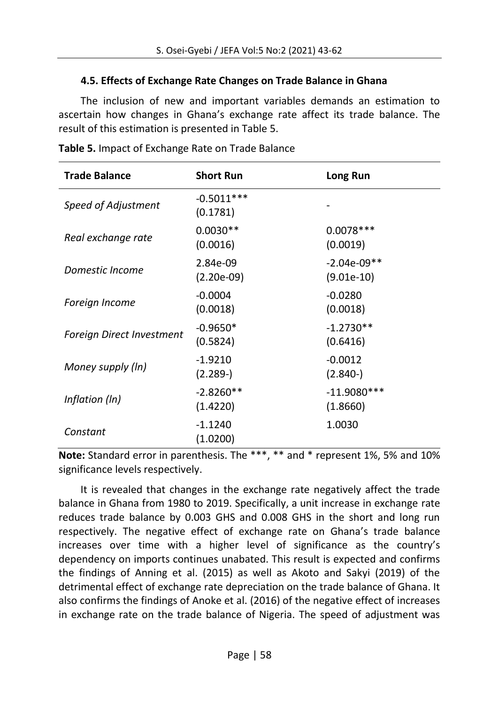### **4.5. Effects of Exchange Rate Changes on Trade Balance in Ghana**

The inclusion of new and important variables demands an estimation to ascertain how changes in Ghana's exchange rate affect its trade balance. The result of this estimation is presented in Table 5.

| <b>Trade Balance</b>             | <b>Short Run</b>         | Long Run                      |
|----------------------------------|--------------------------|-------------------------------|
| Speed of Adjustment              | $-0.5011***$<br>(0.1781) |                               |
| Real exchange rate               | $0.0030**$<br>(0.0016)   | $0.0078***$<br>(0.0019)       |
| Domestic Income                  | 2.84e-09<br>$(2.20e-09)$ | $-2.04e-09**$<br>$(9.01e-10)$ |
| Foreign Income                   | $-0.0004$<br>(0.0018)    | $-0.0280$<br>(0.0018)         |
| <b>Foreign Direct Investment</b> | $-0.9650*$<br>(0.5824)   | $-1.2730**$<br>(0.6416)       |
| Money supply (ln)                | $-1.9210$<br>$(2.289-)$  | $-0.0012$<br>$(2.840-)$       |
| Inflation (In)                   | $-2.8260**$<br>(1.4220)  | $-11.9080***$<br>(1.8660)     |
| Constant                         | $-1.1240$<br>(1.0200)    | 1.0030                        |

**Table 5.** Impact of Exchange Rate on Trade Balance

**Note:** Standard error in parenthesis. The \*\*\*, \*\* and \* represent 1%, 5% and 10% significance levels respectively.

It is revealed that changes in the exchange rate negatively affect the trade balance in Ghana from 1980 to 2019. Specifically, a unit increase in exchange rate reduces trade balance by 0.003 GHS and 0.008 GHS in the short and long run respectively. The negative effect of exchange rate on Ghana's trade balance increases over time with a higher level of significance as the country's dependency on imports continues unabated. This result is expected and confirms the findings of Anning et al. (2015) as well as Akoto and Sakyi (2019) of the detrimental effect of exchange rate depreciation on the trade balance of Ghana. It also confirms the findings of Anoke et al. (2016) of the negative effect of increases in exchange rate on the trade balance of Nigeria. The speed of adjustment was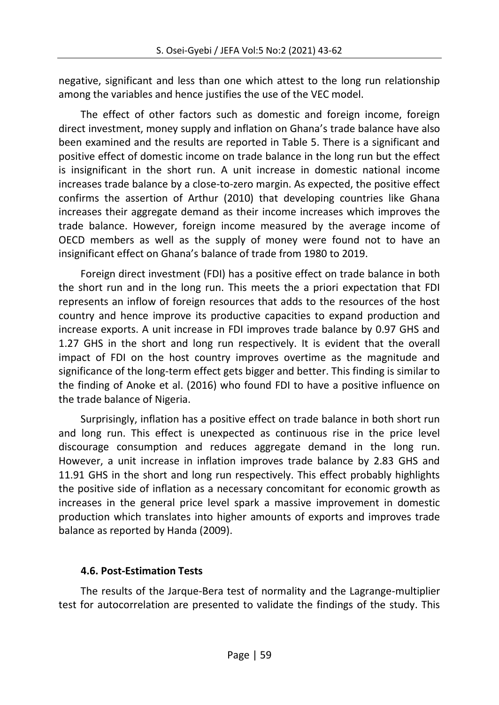negative, significant and less than one which attest to the long run relationship among the variables and hence justifies the use of the VEC model.

The effect of other factors such as domestic and foreign income, foreign direct investment, money supply and inflation on Ghana's trade balance have also been examined and the results are reported in Table 5. There is a significant and positive effect of domestic income on trade balance in the long run but the effect is insignificant in the short run. A unit increase in domestic national income increases trade balance by a close-to-zero margin. As expected, the positive effect confirms the assertion of Arthur (2010) that developing countries like Ghana increases their aggregate demand as their income increases which improves the trade balance. However, foreign income measured by the average income of OECD members as well as the supply of money were found not to have an insignificant effect on Ghana's balance of trade from 1980 to 2019.

Foreign direct investment (FDI) has a positive effect on trade balance in both the short run and in the long run. This meets the a priori expectation that FDI represents an inflow of foreign resources that adds to the resources of the host country and hence improve its productive capacities to expand production and increase exports. A unit increase in FDI improves trade balance by 0.97 GHS and 1.27 GHS in the short and long run respectively. It is evident that the overall impact of FDI on the host country improves overtime as the magnitude and significance of the long-term effect gets bigger and better. This finding is similar to the finding of Anoke et al. (2016) who found FDI to have a positive influence on the trade balance of Nigeria.

Surprisingly, inflation has a positive effect on trade balance in both short run and long run. This effect is unexpected as continuous rise in the price level discourage consumption and reduces aggregate demand in the long run. However, a unit increase in inflation improves trade balance by 2.83 GHS and 11.91 GHS in the short and long run respectively. This effect probably highlights the positive side of inflation as a necessary concomitant for economic growth as increases in the general price level spark a massive improvement in domestic production which translates into higher amounts of exports and improves trade balance as reported by Handa (2009).

# **4.6. Post-Estimation Tests**

The results of the Jarque-Bera test of normality and the Lagrange-multiplier test for autocorrelation are presented to validate the findings of the study. This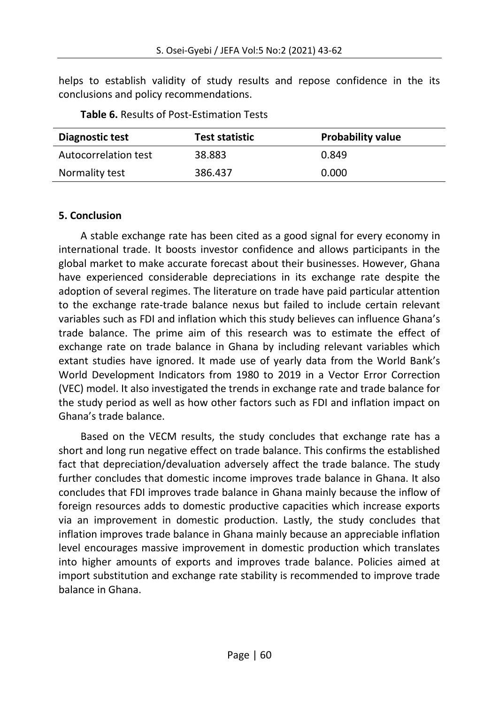helps to establish validity of study results and repose confidence in the its conclusions and policy recommendations.

| Diagnostic test      | Test statistic | <b>Probability value</b> |
|----------------------|----------------|--------------------------|
| Autocorrelation test | 38.883         | 0.849                    |
| Normality test       | 386.437        | 0.000                    |

**Table 6.** Results of Post-Estimation Tests

### **5. Conclusion**

A stable exchange rate has been cited as a good signal for every economy in international trade. It boosts investor confidence and allows participants in the global market to make accurate forecast about their businesses. However, Ghana have experienced considerable depreciations in its exchange rate despite the adoption of several regimes. The literature on trade have paid particular attention to the exchange rate-trade balance nexus but failed to include certain relevant variables such as FDI and inflation which this study believes can influence Ghana's trade balance. The prime aim of this research was to estimate the effect of exchange rate on trade balance in Ghana by including relevant variables which extant studies have ignored. It made use of yearly data from the World Bank's World Development Indicators from 1980 to 2019 in a Vector Error Correction (VEC) model. It also investigated the trends in exchange rate and trade balance for the study period as well as how other factors such as FDI and inflation impact on Ghana's trade balance.

Based on the VECM results, the study concludes that exchange rate has a short and long run negative effect on trade balance. This confirms the established fact that depreciation/devaluation adversely affect the trade balance. The study further concludes that domestic income improves trade balance in Ghana. It also concludes that FDI improves trade balance in Ghana mainly because the inflow of foreign resources adds to domestic productive capacities which increase exports via an improvement in domestic production. Lastly, the study concludes that inflation improves trade balance in Ghana mainly because an appreciable inflation level encourages massive improvement in domestic production which translates into higher amounts of exports and improves trade balance. Policies aimed at import substitution and exchange rate stability is recommended to improve trade balance in Ghana.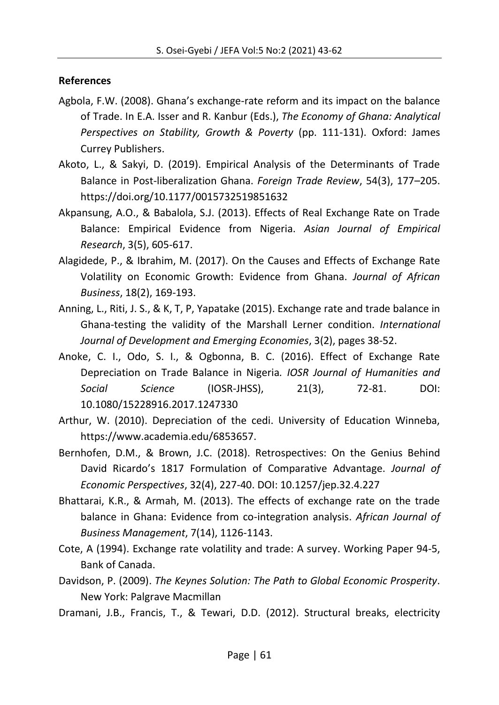### **References**

- Agbola, F.W. (2008). Ghana's exchange-rate reform and its impact on the balance of Trade. In E.A. Isser and R. Kanbur (Eds.), *The Economy of Ghana: Analytical Perspectives on Stability, Growth & Poverty* (pp. 111-131). Oxford: James Currey Publishers.
- Akoto, L., & Sakyi, D. (2019). Empirical Analysis of the Determinants of Trade Balance in Post-liberalization Ghana. *Foreign Trade Review*, 54(3), 177–205. https://doi.org/10.1177/0015732519851632
- Akpansung, A.O., & Babalola, S.J. (2013). Effects of Real Exchange Rate on Trade Balance: Empirical Evidence from Nigeria. *Asian Journal of Empirical Research*, 3(5), 605-617.
- Alagidede, P., & Ibrahim, M. (2017). On the Causes and Effects of Exchange Rate Volatility on Economic Growth: Evidence from Ghana. *Journal of African Business*, 18(2), 169-193.
- Anning, L., Riti, J. S., & K, T, P, Yapatake (2015). Exchange rate and trade balance in Ghana-testing the validity of the Marshall Lerner condition. *International Journal of Development and Emerging Economies*, 3(2), pages 38-52.
- Anoke, C. I., Odo, S. I., & Ogbonna, B. C. (2016). Effect of Exchange Rate Depreciation on Trade Balance in Nigeria*. IOSR Journal of Humanities and Social Science* (IOSR-JHSS), 21(3), 72-81. DOI: 10.1080/15228916.2017.1247330
- Arthur, W. (2010). Depreciation of the cedi. University of Education Winneba, https://www.academia.edu/6853657.
- Bernhofen, D.M., & Brown, J.C. (2018). Retrospectives: On the Genius Behind David Ricardo's 1817 Formulation of Comparative Advantage. *Journal of Economic Perspectives*, 32(4), 227-40. DOI: 10.1257/jep.32.4.227
- Bhattarai, K.R., & Armah, M. (2013). The effects of exchange rate on the trade balance in Ghana: Evidence from co-integration analysis. *African Journal of Business Management*, 7(14), 1126-1143.
- Cote, A (1994). Exchange rate volatility and trade: A survey. Working Paper 94-5, Bank of Canada.
- Davidson, P. (2009). *The Keynes Solution: The Path to Global Economic Prosperity*. New York: Palgrave Macmillan
- Dramani, J.B., Francis, T., & Tewari, D.D. (2012). Structural breaks, electricity